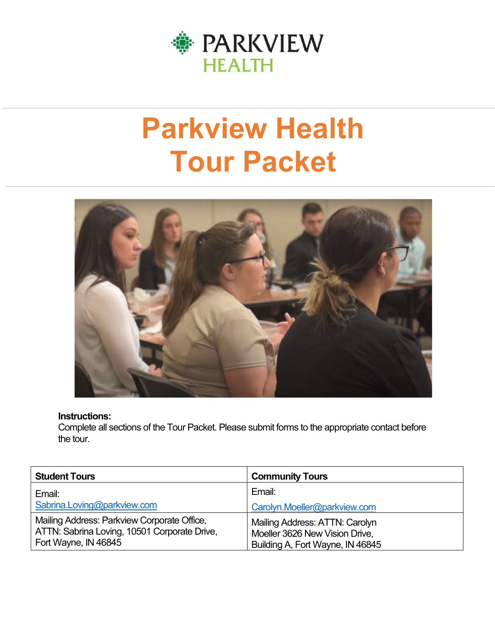

# Parkview Health Tour Packet



#### Instructions:

Complete all sections of the Tour Packet. Please submit forms to the appropriate contact before the tour.

| <b>Student Tours</b>                                                                                                | <b>Community Tours</b>                                                                               |
|---------------------------------------------------------------------------------------------------------------------|------------------------------------------------------------------------------------------------------|
| Email:                                                                                                              | Email:                                                                                               |
| Sabrina.Loving@parkview.com                                                                                         | Carolyn.Moeller@parkview.com                                                                         |
| Mailing Address: Parkview Corporate Office,<br>ATTN: Sabrina Loving, 10501 Corporate Drive,<br>Fort Wayne, IN 46845 | Mailing Address: ATTN: Carolyn<br>Moeller 3626 New Vision Drive,<br>Building A, Fort Wayne, IN 46845 |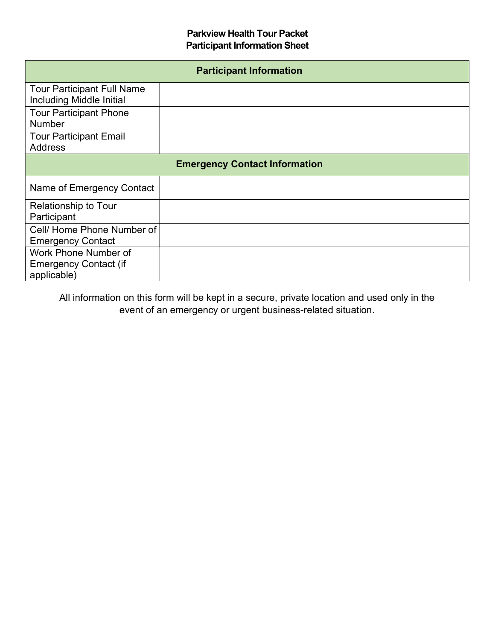#### Parkview Health Tour Packet Participant Information Sheet

| <b>Participant Information</b>                                      |  |  |  |
|---------------------------------------------------------------------|--|--|--|
| <b>Tour Participant Full Name</b><br>Including Middle Initial       |  |  |  |
| <b>Tour Participant Phone</b><br><b>Number</b>                      |  |  |  |
| <b>Tour Participant Email</b><br><b>Address</b>                     |  |  |  |
| <b>Emergency Contact Information</b>                                |  |  |  |
| Name of Emergency Contact                                           |  |  |  |
| <b>Relationship to Tour</b><br>Participant                          |  |  |  |
| Cell/Home Phone Number of<br><b>Emergency Contact</b>               |  |  |  |
| Work Phone Number of<br><b>Emergency Contact (if</b><br>applicable) |  |  |  |

All information on this form will be kept in a secure, private location and used only in the event of an emergency or urgent business-related situation.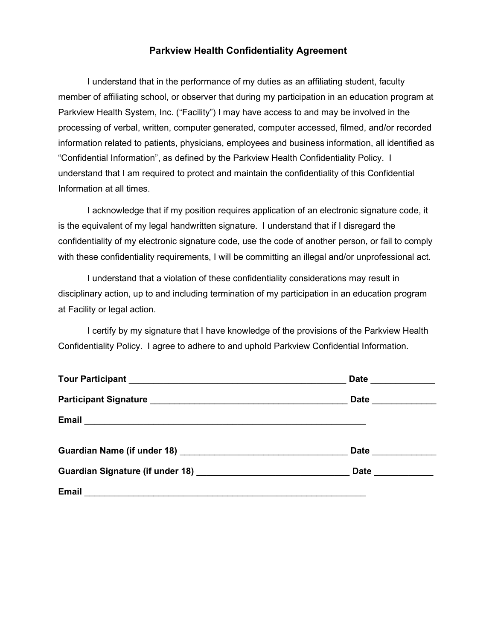#### Parkview Health Confidentiality Agreement

I understand that in the performance of my duties as an affiliating student, faculty member of affiliating school, or observer that during my participation in an education program at Parkview Health System, Inc. ("Facility") I may have access to and may be involved in the processing of verbal, written, computer generated, computer accessed, filmed, and/or recorded information related to patients, physicians, employees and business information, all identified as "Confidential Information", as defined by the Parkview Health Confidentiality Policy. I understand that I am required to protect and maintain the confidentiality of this Confidential Information at all times.

I acknowledge that if my position requires application of an electronic signature code, it is the equivalent of my legal handwritten signature. I understand that if I disregard the confidentiality of my electronic signature code, use the code of another person, or fail to comply with these confidentiality requirements, I will be committing an illegal and/or unprofessional act.

I understand that a violation of these confidentiality considerations may result in disciplinary action, up to and including termination of my participation in an education program at Facility or legal action.

I certify by my signature that I have knowledge of the provisions of the Parkview Health Confidentiality Policy. I agree to adhere to and uphold Parkview Confidential Information.

|                                                                                                                               | Date __________ |
|-------------------------------------------------------------------------------------------------------------------------------|-----------------|
|                                                                                                                               | Date __________ |
|                                                                                                                               |                 |
|                                                                                                                               | Date __________ |
|                                                                                                                               | Date _________  |
| Email<br><u> 1989 - Jan Samuel Barbara, martin da shekara tsara 1989 - An tsara 1989 - An tsara 1989 - An tsara 1989 - An</u> |                 |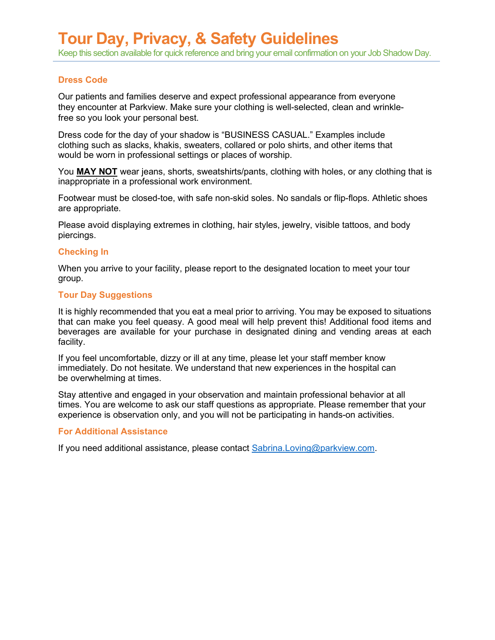#### Dress Code

Our patients and families deserve and expect professional appearance from everyone they encounter at Parkview. Make sure your clothing is well-selected, clean and wrinklefree so you look your personal best.

Dress code for the day of your shadow is "BUSINESS CASUAL." Examples include clothing such as slacks, khakis, sweaters, collared or polo shirts, and other items that would be worn in professional settings or places of worship.

You MAY NOT wear jeans, shorts, sweatshirts/pants, clothing with holes, or any clothing that is inappropriate in a professional work environment.

Footwear must be closed-toe, with safe non-skid soles. No sandals or flip-flops. Athletic shoes are appropriate.

Please avoid displaying extremes in clothing, hair styles, jewelry, visible tattoos, and body piercings.

#### Checking In

When you arrive to your facility, please report to the designated location to meet your tour group.

#### Tour Day Suggestions

It is highly recommended that you eat a meal prior to arriving. You may be exposed to situations that can make you feel queasy. A good meal will help prevent this! Additional food items and beverages are available for your purchase in designated dining and vending areas at each facility.

If you feel uncomfortable, dizzy or ill at any time, please let your staff member know immediately. Do not hesitate. We understand that new experiences in the hospital can be overwhelming at times.

Stay attentive and engaged in your observation and maintain professional behavior at all times. You are welcome to ask our staff questions as appropriate. Please remember that your experience is observation only, and you will not be participating in hands-on activities.

#### For Additional Assistance

If you need additional assistance, please contact Sabrina.Loving@parkview.com.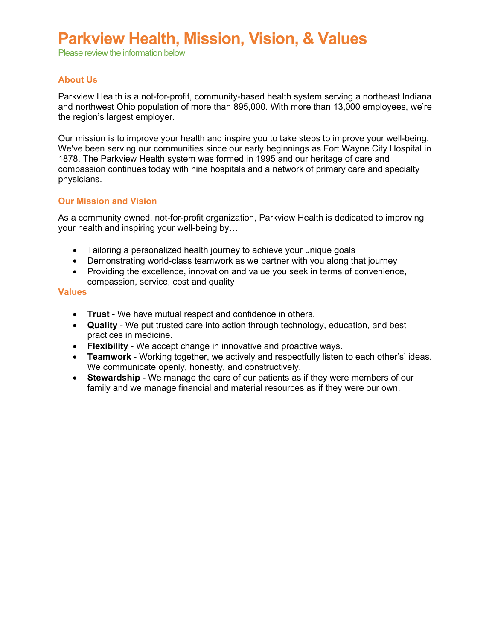## Parkview Health, Mission, Vision, & Values

Please review the information below

#### About Us

Parkview Health is a not-for-profit, community-based health system serving a northeast Indiana and northwest Ohio population of more than 895,000. With more than 13,000 employees, we're the region's largest employer.

Our mission is to improve your health and inspire you to take steps to improve your well-being. We've been serving our communities since our early beginnings as Fort Wayne City Hospital in 1878. The Parkview Health system was formed in 1995 and our heritage of care and compassion continues today with nine hospitals and a network of primary care and specialty physicians.

#### Our Mission and Vision

As a community owned, not-for-profit organization, Parkview Health is dedicated to improving your health and inspiring your well-being by…

- Tailoring a personalized health journey to achieve your unique goals
- Demonstrating world-class teamwork as we partner with you along that journey
- Providing the excellence, innovation and value you seek in terms of convenience, compassion, service, cost and quality

#### **Values**

- **Trust** We have mutual respect and confidence in others.
- Quality We put trusted care into action through technology, education, and best practices in medicine.
- Flexibility We accept change in innovative and proactive ways.
- Teamwork Working together, we actively and respectfully listen to each other's' ideas. We communicate openly, honestly, and constructively.
- Stewardship We manage the care of our patients as if they were members of our family and we manage financial and material resources as if they were our own.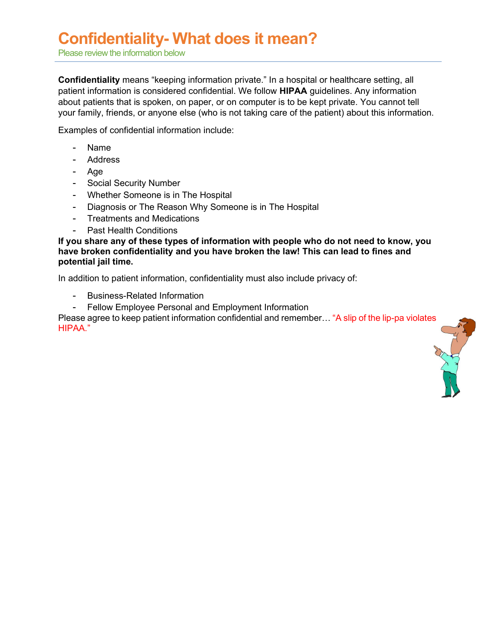### Confidentiality- What does it mean?

Please review the information below

Confidentiality means "keeping information private." In a hospital or healthcare setting, all patient information is considered confidential. We follow HIPAA guidelines. Any information about patients that is spoken, on paper, or on computer is to be kept private. You cannot tell your family, friends, or anyone else (who is not taking care of the patient) about this information.

Examples of confidential information include:

- Name
- Address
- Age
- Social Security Number
- Whether Someone is in The Hospital
- Diagnosis or The Reason Why Someone is in The Hospital
- Treatments and Medications
- Past Health Conditions

If you share any of these types of information with people who do not need to know, you have broken confidentiality and you have broken the law! This can lead to fines and potential jail time.

In addition to patient information, confidentiality must also include privacy of:

- Business-Related Information
- Fellow Employee Personal and Employment Information

Please agree to keep patient information confidential and remember… "A slip of the lip-pa violates HIPAA."

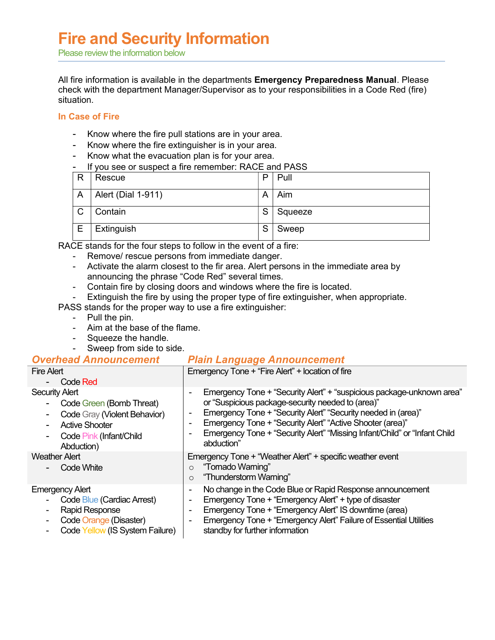### Fire and Security Information

Please review the information below

All fire information is available in the departments Emergency Preparedness Manual. Please check with the department Manager/Supervisor as to your responsibilities in a Code Red (fire) situation.

#### In Case of Fire

- Know where the fire pull stations are in your area.
- Know where the fire extinguisher is in your area.
- Know what the evacuation plan is for your area.
- If you see or suspect a fire remember: RACE and PASS

| R | Rescue             | P | Pull    |
|---|--------------------|---|---------|
| A | Alert (Dial 1-911) | А | Aim     |
| C | Contain            | S | Squeeze |
| E | Extinguish         | S | Sweep   |

RACE stands for the four steps to follow in the event of a fire:

- Remove/ rescue persons from immediate danger.
- Activate the alarm closest to the fir area. Alert persons in the immediate area by announcing the phrase "Code Red" several times.
- Contain fire by closing doors and windows where the fire is located.
- Extinguish the fire by using the proper type of fire extinguisher, when appropriate.

PASS stands for the proper way to use a fire extinguisher:

- Pull the pin.
- Aim at the base of the flame.
- Squeeze the handle.
- Sweep from side to side.

### **Overhead Announcement Plain Language Announcement**

| <b>Fire Alert</b><br>Code Red                                                                                                                                   | Emergency Tone + "Fire Alert" + location of fire                                                                                                                                                                                                                                                                                                                                                          |
|-----------------------------------------------------------------------------------------------------------------------------------------------------------------|-----------------------------------------------------------------------------------------------------------------------------------------------------------------------------------------------------------------------------------------------------------------------------------------------------------------------------------------------------------------------------------------------------------|
| <b>Security Alert</b><br>Code Green (Bomb Threat)<br>۰.<br>Code Gray (Violent Behavior)<br><b>Active Shooter</b><br>Code Pink (Infant/Child<br>Ξ.<br>Abduction) | Emergency Tone + "Security Alert" + "suspicious package-unknown area"<br>$\blacksquare$<br>or "Suspicious package-security needed to (area)"<br>Emergency Tone + "Security Alert" "Security needed in (area)"<br>$\blacksquare$<br>Emergency Tone + "Security Alert" "Active Shooter (area)"<br>Emergency Tone + "Security Alert" "Missing Infant/Child" or "Infant Child<br>$\blacksquare$<br>abduction" |
| <b>Weather Alert</b><br>Code White                                                                                                                              | Emergency Tone + "Weather Alert" + specific weather event<br>"Tornado Warning"<br>$\circ$<br>"Thunderstorm Warning"<br>$\circ$                                                                                                                                                                                                                                                                            |
| <b>Emergency Alert</b><br>Code Blue (Cardiac Arrest)<br><b>Rapid Response</b><br>Code Orange (Disaster)<br>Code Yellow (IS System Failure)                      | No change in the Code Blue or Rapid Response announcement<br>$\overline{\phantom{a}}$<br>Emergency Tone + "Emergency Alert" + type of disaster<br>$\blacksquare$<br>Emergency Tone + "Emergency Alert" IS downtime (area)<br>$\blacksquare$<br>Emergency Tone + "Emergency Alert" Failure of Essential Utilities<br>$\blacksquare$<br>standby for further information                                     |